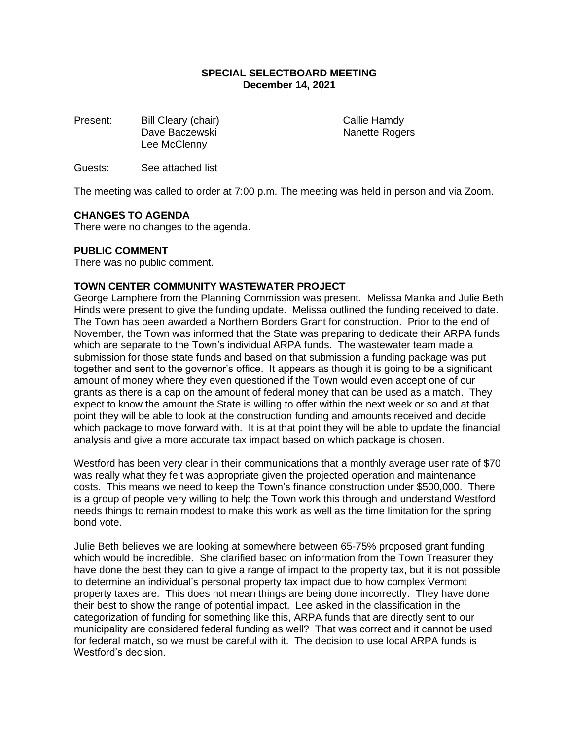## **SPECIAL SELECTBOARD MEETING December 14, 2021**

Present: Bill Cleary (chair) Callie Hamdy Dave Baczewski Nanette Rogers Lee McClenny

Guests: See attached list

The meeting was called to order at 7:00 p.m. The meeting was held in person and via Zoom.

## **CHANGES TO AGENDA**

There were no changes to the agenda.

## **PUBLIC COMMENT**

There was no public comment.

#### **TOWN CENTER COMMUNITY WASTEWATER PROJECT**

George Lamphere from the Planning Commission was present. Melissa Manka and Julie Beth Hinds were present to give the funding update. Melissa outlined the funding received to date. The Town has been awarded a Northern Borders Grant for construction. Prior to the end of November, the Town was informed that the State was preparing to dedicate their ARPA funds which are separate to the Town's individual ARPA funds. The wastewater team made a submission for those state funds and based on that submission a funding package was put together and sent to the governor's office. It appears as though it is going to be a significant amount of money where they even questioned if the Town would even accept one of our grants as there is a cap on the amount of federal money that can be used as a match. They expect to know the amount the State is willing to offer within the next week or so and at that point they will be able to look at the construction funding and amounts received and decide which package to move forward with. It is at that point they will be able to update the financial analysis and give a more accurate tax impact based on which package is chosen.

Westford has been very clear in their communications that a monthly average user rate of \$70 was really what they felt was appropriate given the projected operation and maintenance costs. This means we need to keep the Town's finance construction under \$500,000. There is a group of people very willing to help the Town work this through and understand Westford needs things to remain modest to make this work as well as the time limitation for the spring bond vote.

Julie Beth believes we are looking at somewhere between 65-75% proposed grant funding which would be incredible. She clarified based on information from the Town Treasurer they have done the best they can to give a range of impact to the property tax, but it is not possible to determine an individual's personal property tax impact due to how complex Vermont property taxes are. This does not mean things are being done incorrectly. They have done their best to show the range of potential impact. Lee asked in the classification in the categorization of funding for something like this, ARPA funds that are directly sent to our municipality are considered federal funding as well? That was correct and it cannot be used for federal match, so we must be careful with it. The decision to use local ARPA funds is Westford's decision.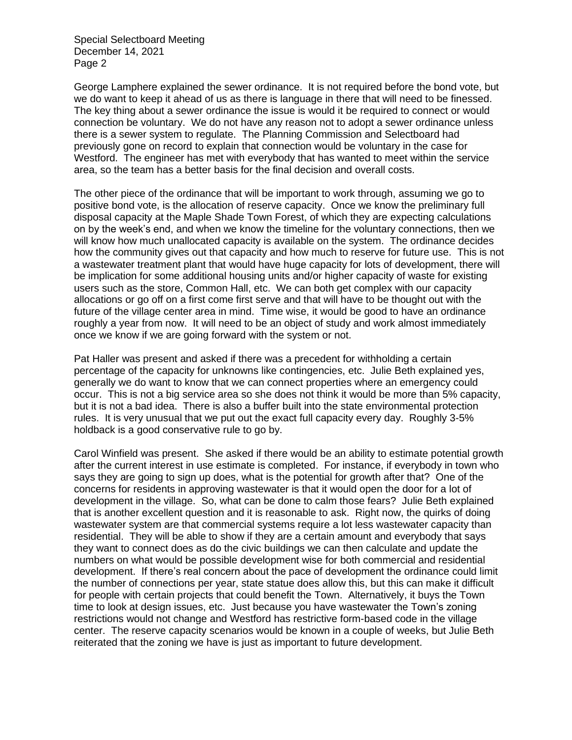George Lamphere explained the sewer ordinance. It is not required before the bond vote, but we do want to keep it ahead of us as there is language in there that will need to be finessed. The key thing about a sewer ordinance the issue is would it be required to connect or would connection be voluntary. We do not have any reason not to adopt a sewer ordinance unless there is a sewer system to regulate. The Planning Commission and Selectboard had previously gone on record to explain that connection would be voluntary in the case for Westford. The engineer has met with everybody that has wanted to meet within the service area, so the team has a better basis for the final decision and overall costs.

The other piece of the ordinance that will be important to work through, assuming we go to positive bond vote, is the allocation of reserve capacity. Once we know the preliminary full disposal capacity at the Maple Shade Town Forest, of which they are expecting calculations on by the week's end, and when we know the timeline for the voluntary connections, then we will know how much unallocated capacity is available on the system. The ordinance decides how the community gives out that capacity and how much to reserve for future use. This is not a wastewater treatment plant that would have huge capacity for lots of development, there will be implication for some additional housing units and/or higher capacity of waste for existing users such as the store, Common Hall, etc. We can both get complex with our capacity allocations or go off on a first come first serve and that will have to be thought out with the future of the village center area in mind. Time wise, it would be good to have an ordinance roughly a year from now. It will need to be an object of study and work almost immediately once we know if we are going forward with the system or not.

Pat Haller was present and asked if there was a precedent for withholding a certain percentage of the capacity for unknowns like contingencies, etc. Julie Beth explained yes, generally we do want to know that we can connect properties where an emergency could occur. This is not a big service area so she does not think it would be more than 5% capacity, but it is not a bad idea. There is also a buffer built into the state environmental protection rules. It is very unusual that we put out the exact full capacity every day. Roughly 3-5% holdback is a good conservative rule to go by.

Carol Winfield was present. She asked if there would be an ability to estimate potential growth after the current interest in use estimate is completed. For instance, if everybody in town who says they are going to sign up does, what is the potential for growth after that? One of the concerns for residents in approving wastewater is that it would open the door for a lot of development in the village. So, what can be done to calm those fears? Julie Beth explained that is another excellent question and it is reasonable to ask. Right now, the quirks of doing wastewater system are that commercial systems require a lot less wastewater capacity than residential. They will be able to show if they are a certain amount and everybody that says they want to connect does as do the civic buildings we can then calculate and update the numbers on what would be possible development wise for both commercial and residential development. If there's real concern about the pace of development the ordinance could limit the number of connections per year, state statue does allow this, but this can make it difficult for people with certain projects that could benefit the Town. Alternatively, it buys the Town time to look at design issues, etc. Just because you have wastewater the Town's zoning restrictions would not change and Westford has restrictive form-based code in the village center. The reserve capacity scenarios would be known in a couple of weeks, but Julie Beth reiterated that the zoning we have is just as important to future development.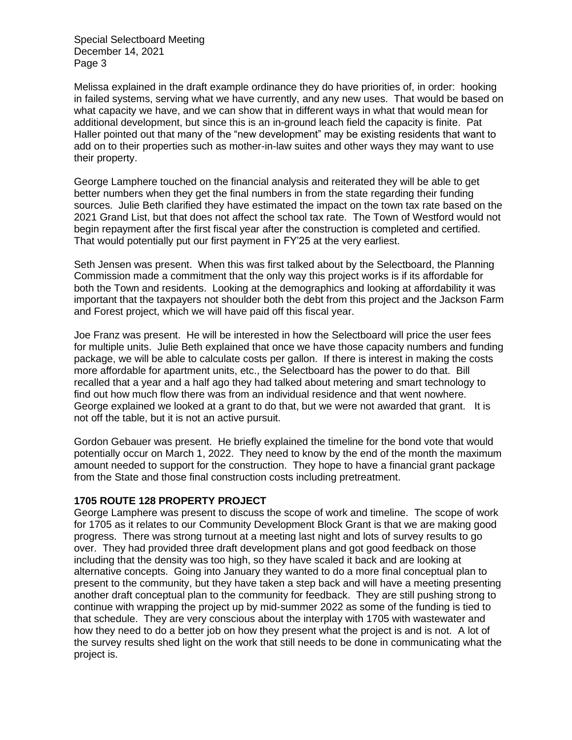Melissa explained in the draft example ordinance they do have priorities of, in order: hooking in failed systems, serving what we have currently, and any new uses. That would be based on what capacity we have, and we can show that in different ways in what that would mean for additional development, but since this is an in-ground leach field the capacity is finite. Pat Haller pointed out that many of the "new development" may be existing residents that want to add on to their properties such as mother-in-law suites and other ways they may want to use their property.

George Lamphere touched on the financial analysis and reiterated they will be able to get better numbers when they get the final numbers in from the state regarding their funding sources. Julie Beth clarified they have estimated the impact on the town tax rate based on the 2021 Grand List, but that does not affect the school tax rate. The Town of Westford would not begin repayment after the first fiscal year after the construction is completed and certified. That would potentially put our first payment in FY'25 at the very earliest.

Seth Jensen was present. When this was first talked about by the Selectboard, the Planning Commission made a commitment that the only way this project works is if its affordable for both the Town and residents. Looking at the demographics and looking at affordability it was important that the taxpayers not shoulder both the debt from this project and the Jackson Farm and Forest project, which we will have paid off this fiscal year.

Joe Franz was present. He will be interested in how the Selectboard will price the user fees for multiple units. Julie Beth explained that once we have those capacity numbers and funding package, we will be able to calculate costs per gallon. If there is interest in making the costs more affordable for apartment units, etc., the Selectboard has the power to do that. Bill recalled that a year and a half ago they had talked about metering and smart technology to find out how much flow there was from an individual residence and that went nowhere. George explained we looked at a grant to do that, but we were not awarded that grant. It is not off the table, but it is not an active pursuit.

Gordon Gebauer was present. He briefly explained the timeline for the bond vote that would potentially occur on March 1, 2022. They need to know by the end of the month the maximum amount needed to support for the construction. They hope to have a financial grant package from the State and those final construction costs including pretreatment.

## **1705 ROUTE 128 PROPERTY PROJECT**

George Lamphere was present to discuss the scope of work and timeline. The scope of work for 1705 as it relates to our Community Development Block Grant is that we are making good progress. There was strong turnout at a meeting last night and lots of survey results to go over. They had provided three draft development plans and got good feedback on those including that the density was too high, so they have scaled it back and are looking at alternative concepts. Going into January they wanted to do a more final conceptual plan to present to the community, but they have taken a step back and will have a meeting presenting another draft conceptual plan to the community for feedback. They are still pushing strong to continue with wrapping the project up by mid-summer 2022 as some of the funding is tied to that schedule. They are very conscious about the interplay with 1705 with wastewater and how they need to do a better job on how they present what the project is and is not. A lot of the survey results shed light on the work that still needs to be done in communicating what the project is.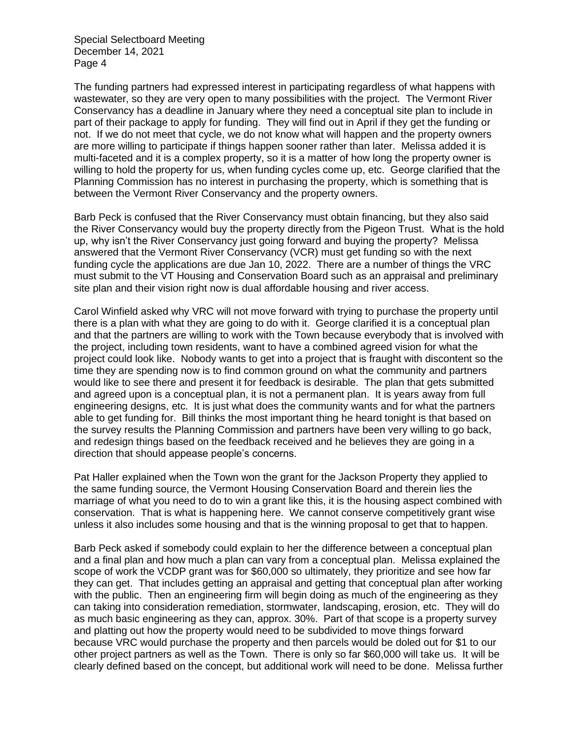The funding partners had expressed interest in participating regardless of what happens with wastewater, so they are very open to many possibilities with the project. The Vermont River Conservancy has a deadline in January where they need a conceptual site plan to include in part of their package to apply for funding. They will find out in April if they get the funding or not. If we do not meet that cycle, we do not know what will happen and the property owners are more willing to participate if things happen sooner rather than later. Melissa added it is multi-faceted and it is a complex property, so it is a matter of how long the property owner is willing to hold the property for us, when funding cycles come up, etc. George clarified that the Planning Commission has no interest in purchasing the property, which is something that is between the Vermont River Conservancy and the property owners.

Barb Peck is confused that the River Conservancy must obtain financing, but they also said the River Conservancy would buy the property directly from the Pigeon Trust. What is the hold up, why isn't the River Conservancy just going forward and buying the property? Melissa answered that the Vermont River Conservancy (VCR) must get funding so with the next funding cycle the applications are due Jan 10, 2022. There are a number of things the VRC must submit to the VT Housing and Conservation Board such as an appraisal and preliminary site plan and their vision right now is dual affordable housing and river access.

Carol Winfield asked why VRC will not move forward with trying to purchase the property until there is a plan with what they are going to do with it. George clarified it is a conceptual plan and that the partners are willing to work with the Town because everybody that is involved with the project, including town residents, want to have a combined agreed vision for what the project could look like. Nobody wants to get into a project that is fraught with discontent so the time they are spending now is to find common ground on what the community and partners would like to see there and present it for feedback is desirable. The plan that gets submitted and agreed upon is a conceptual plan, it is not a permanent plan. It is years away from full engineering designs, etc. It is just what does the community wants and for what the partners able to get funding for. Bill thinks the most important thing he heard tonight is that based on the survey results the Planning Commission and partners have been very willing to go back, and redesign things based on the feedback received and he believes they are going in a direction that should appease people's concerns.

Pat Haller explained when the Town won the grant for the Jackson Property they applied to the same funding source, the Vermont Housing Conservation Board and therein lies the marriage of what you need to do to win a grant like this, it is the housing aspect combined with conservation. That is what is happening here. We cannot conserve competitively grant wise unless it also includes some housing and that is the winning proposal to get that to happen.

Barb Peck asked if somebody could explain to her the difference between a conceptual plan and a final plan and how much a plan can vary from a conceptual plan. Melissa explained the scope of work the VCDP grant was for \$60,000 so ultimately, they prioritize and see how far they can get. That includes getting an appraisal and getting that conceptual plan after working with the public. Then an engineering firm will begin doing as much of the engineering as they can taking into consideration remediation, stormwater, landscaping, erosion, etc. They will do as much basic engineering as they can, approx. 30%. Part of that scope is a property survey and platting out how the property would need to be subdivided to move things forward because VRC would purchase the property and then parcels would be doled out for \$1 to our other project partners as well as the Town. There is only so far \$60,000 will take us. It will be clearly defined based on the concept, but additional work will need to be done. Melissa further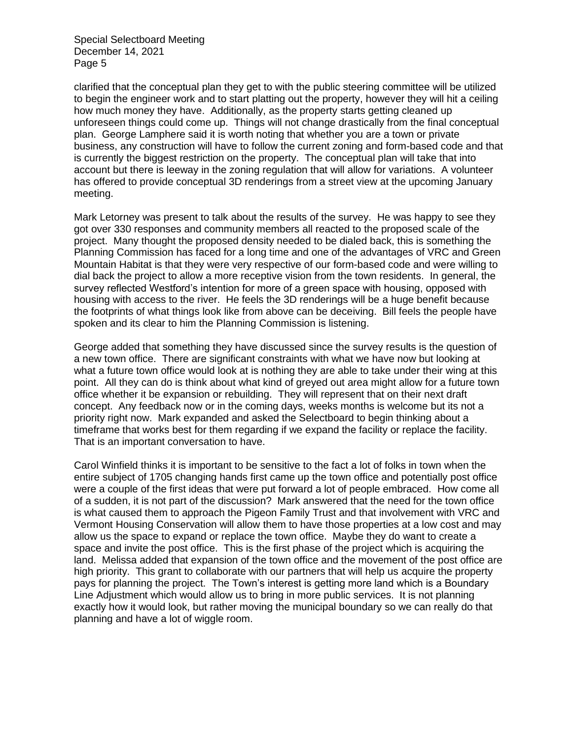clarified that the conceptual plan they get to with the public steering committee will be utilized to begin the engineer work and to start platting out the property, however they will hit a ceiling how much money they have. Additionally, as the property starts getting cleaned up unforeseen things could come up. Things will not change drastically from the final conceptual plan. George Lamphere said it is worth noting that whether you are a town or private business, any construction will have to follow the current zoning and form-based code and that is currently the biggest restriction on the property. The conceptual plan will take that into account but there is leeway in the zoning regulation that will allow for variations. A volunteer has offered to provide conceptual 3D renderings from a street view at the upcoming January meeting.

Mark Letorney was present to talk about the results of the survey. He was happy to see they got over 330 responses and community members all reacted to the proposed scale of the project. Many thought the proposed density needed to be dialed back, this is something the Planning Commission has faced for a long time and one of the advantages of VRC and Green Mountain Habitat is that they were very respective of our form-based code and were willing to dial back the project to allow a more receptive vision from the town residents. In general, the survey reflected Westford's intention for more of a green space with housing, opposed with housing with access to the river. He feels the 3D renderings will be a huge benefit because the footprints of what things look like from above can be deceiving. Bill feels the people have spoken and its clear to him the Planning Commission is listening.

George added that something they have discussed since the survey results is the question of a new town office. There are significant constraints with what we have now but looking at what a future town office would look at is nothing they are able to take under their wing at this point. All they can do is think about what kind of greyed out area might allow for a future town office whether it be expansion or rebuilding. They will represent that on their next draft concept. Any feedback now or in the coming days, weeks months is welcome but its not a priority right now. Mark expanded and asked the Selectboard to begin thinking about a timeframe that works best for them regarding if we expand the facility or replace the facility. That is an important conversation to have.

Carol Winfield thinks it is important to be sensitive to the fact a lot of folks in town when the entire subject of 1705 changing hands first came up the town office and potentially post office were a couple of the first ideas that were put forward a lot of people embraced. How come all of a sudden, it is not part of the discussion? Mark answered that the need for the town office is what caused them to approach the Pigeon Family Trust and that involvement with VRC and Vermont Housing Conservation will allow them to have those properties at a low cost and may allow us the space to expand or replace the town office. Maybe they do want to create a space and invite the post office. This is the first phase of the project which is acquiring the land. Melissa added that expansion of the town office and the movement of the post office are high priority. This grant to collaborate with our partners that will help us acquire the property pays for planning the project. The Town's interest is getting more land which is a Boundary Line Adjustment which would allow us to bring in more public services. It is not planning exactly how it would look, but rather moving the municipal boundary so we can really do that planning and have a lot of wiggle room.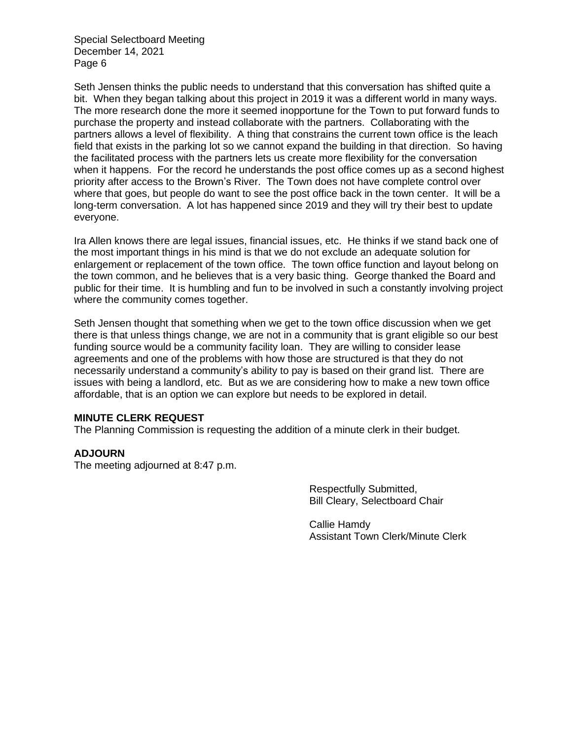Seth Jensen thinks the public needs to understand that this conversation has shifted quite a bit. When they began talking about this project in 2019 it was a different world in many ways. The more research done the more it seemed inopportune for the Town to put forward funds to purchase the property and instead collaborate with the partners. Collaborating with the partners allows a level of flexibility. A thing that constrains the current town office is the leach field that exists in the parking lot so we cannot expand the building in that direction. So having the facilitated process with the partners lets us create more flexibility for the conversation when it happens. For the record he understands the post office comes up as a second highest priority after access to the Brown's River. The Town does not have complete control over where that goes, but people do want to see the post office back in the town center. It will be a long-term conversation. A lot has happened since 2019 and they will try their best to update everyone.

Ira Allen knows there are legal issues, financial issues, etc. He thinks if we stand back one of the most important things in his mind is that we do not exclude an adequate solution for enlargement or replacement of the town office. The town office function and layout belong on the town common, and he believes that is a very basic thing. George thanked the Board and public for their time. It is humbling and fun to be involved in such a constantly involving project where the community comes together.

Seth Jensen thought that something when we get to the town office discussion when we get there is that unless things change, we are not in a community that is grant eligible so our best funding source would be a community facility loan. They are willing to consider lease agreements and one of the problems with how those are structured is that they do not necessarily understand a community's ability to pay is based on their grand list. There are issues with being a landlord, etc. But as we are considering how to make a new town office affordable, that is an option we can explore but needs to be explored in detail.

#### **MINUTE CLERK REQUEST**

The Planning Commission is requesting the addition of a minute clerk in their budget.

#### **ADJOURN**

The meeting adjourned at 8:47 p.m.

Respectfully Submitted, Bill Cleary, Selectboard Chair

Callie Hamdy Assistant Town Clerk/Minute Clerk